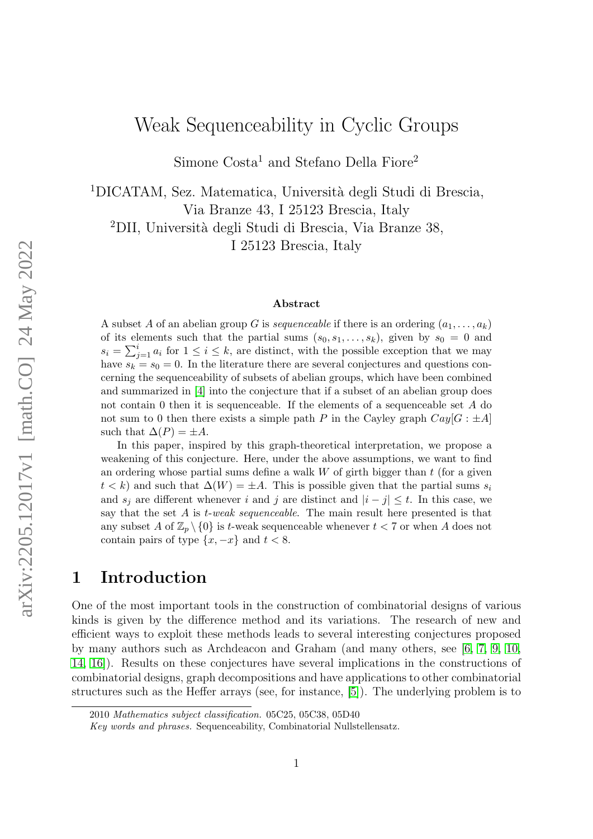# Weak Sequenceability in Cyclic Groups

Simone Costa<sup>1</sup> and Stefano Della Fiore<sup>2</sup>

<sup>1</sup>DICATAM, Sez. Matematica, Università degli Studi di Brescia, Via Branze 43, I 25123 Brescia, Italy <sup>2</sup>DII, Università degli Studi di Brescia, Via Branze 38, I 25123 Brescia, Italy

#### Abstract

A subset A of an abelian group G is *sequenceable* if there is an ordering  $(a_1, \ldots, a_k)$ of its elements such that the partial sums  $(s_0, s_1, \ldots, s_k)$ , given by  $s_0 = 0$  and  $s_i = \sum_{j=1}^i a_i$  for  $1 \leq i \leq k$ , are distinct, with the possible exception that we may have  $s_k = s_0 = 0$ . In the literature there are several conjectures and questions concerning the sequenceability of subsets of abelian groups, which have been combined and summarized in [\[4\]](#page-14-0) into the conjecture that if a subset of an abelian group does not contain 0 then it is sequenceable. If the elements of a sequenceable set A do not sum to 0 then there exists a simple path P in the Cayley graph  $Cay[G : \pm A]$ such that  $\Delta(P) = \pm A$ .

In this paper, inspired by this graph-theoretical interpretation, we propose a weakening of this conjecture. Here, under the above assumptions, we want to find an ordering whose partial sums define a walk  $W$  of girth bigger than  $t$  (for a given  $t < k$ ) and such that  $\Delta(W) = \pm A$ . This is possible given that the partial sums  $s_i$ and  $s_i$  are different whenever i and j are distinct and  $|i - j| \leq t$ . In this case, we say that the set  $A$  is  $t$ -weak sequenceable. The main result here presented is that any subset A of  $\mathbb{Z}_p \setminus \{0\}$  is t-weak sequenceable whenever  $t < 7$  or when A does not contain pairs of type  $\{x, -x\}$  and  $t < 8$ .

### 1 Introduction

One of the most important tools in the construction of combinatorial designs of various kinds is given by the difference method and its variations. The research of new and efficient ways to exploit these methods leads to several interesting conjectures proposed by many authors such as Archdeacon and Graham (and many others, see [\[6,](#page-14-1) [7,](#page-14-2) [9,](#page-14-3) [10,](#page-14-4) [14,](#page-14-5) [16\]](#page-14-6)). Results on these conjectures have several implications in the constructions of combinatorial designs, graph decompositions and have applications to other combinatorial structures such as the Heffer arrays (see, for instance, [\[5\]](#page-14-7)). The underlying problem is to

<sup>2010</sup> Mathematics subject classification. 05C25, 05C38, 05D40

Key words and phrases. Sequenceability, Combinatorial Nullstellensatz.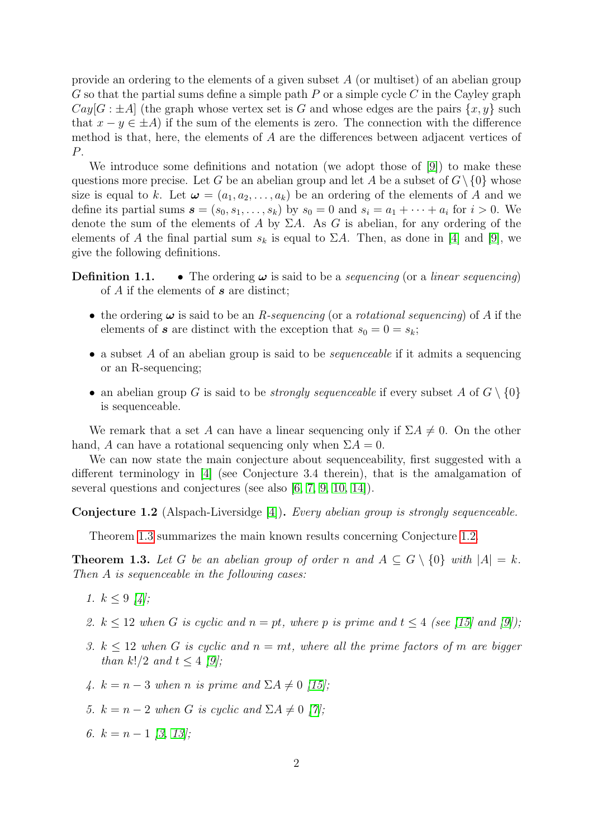provide an ordering to the elements of a given subset A (or multiset) of an abelian group G so that the partial sums define a simple path  $P$  or a simple cycle  $C$  in the Cayley graph  $Cay[G : \pm A]$  (the graph whose vertex set is G and whose edges are the pairs  $\{x, y\}$  such that  $x - y \in \pm A$ ) if the sum of the elements is zero. The connection with the difference method is that, here, the elements of A are the differences between adjacent vertices of P.

We introduce some definitions and notation (we adopt those of [\[9\]](#page-14-3)) to make these questions more precise. Let G be an abelian group and let A be a subset of  $G \setminus \{0\}$  whose size is equal to k. Let  $\boldsymbol{\omega} = (a_1, a_2, \dots, a_k)$  be an ordering of the elements of A and we define its partial sums  $\boldsymbol{s} = (s_0, s_1, \dots, s_k)$  by  $s_0 = 0$  and  $s_i = a_1 + \dots + a_i$  for  $i > 0$ . We denote the sum of the elements of A by  $\Sigma A$ . As G is abelian, for any ordering of the elements of A the final partial sum  $s_k$  is equal to  $\Sigma A$ . Then, as done in [\[4\]](#page-14-0) and [\[9\]](#page-14-3), we give the following definitions.

**Definition 1.1.** • The ordering  $\omega$  is said to be a *sequencing* (or a *linear sequencing*) of  $A$  if the elements of  $s$  are distinct;

- the ordering  $\omega$  is said to be an *R-sequencing* (or a *rotational sequencing*) of A if the elements of **s** are distinct with the exception that  $s_0 = 0 = s_k$ ;
- a subset A of an abelian group is said to be *sequenceable* if it admits a sequencing or an R-sequencing;
- an abelian group G is said to be *strongly sequenceable* if every subset A of  $G \setminus \{0\}$ is sequenceable.

We remark that a set A can have a linear sequencing only if  $\Sigma A \neq 0$ . On the other hand, A can have a rotational sequencing only when  $\Sigma A = 0$ .

We can now state the main conjecture about sequenceability, first suggested with a different terminology in [\[4\]](#page-14-0) (see Conjecture 3.4 therein), that is the amalgamation of several questions and conjectures (see also [\[6,](#page-14-1) [7,](#page-14-2) [9,](#page-14-3) [10,](#page-14-4) [14\]](#page-14-5)).

<span id="page-1-1"></span>Conjecture 1.2 (Alspach-Liversidge [\[4\]](#page-14-0)). Every abelian group is strongly sequenceable.

Theorem [1.3](#page-1-0) summarizes the main known results concerning Conjecture [1.2.](#page-1-1)

<span id="page-1-0"></span>**Theorem 1.3.** Let G be an abelian group of order n and  $A \subseteq G \setminus \{0\}$  with  $|A| = k$ . Then A is sequenceable in the following cases:

- 1.  $k \leq 9$  [\[4\]](#page-14-0);
- 2.  $k \leq 12$  when G is cyclic and  $n = pt$ , where p is prime and  $t \leq 4$  (see [\[15\]](#page-14-8) and [\[9\]](#page-14-3));
- 3.  $k \leq 12$  when G is cyclic and  $n = mt$ , where all the prime factors of m are bigger than  $k!/2$  and  $t < 4$  [\[9\]](#page-14-3);
- 4.  $k = n 3$  when n is prime and  $\Sigma A \neq 0$  [\[15\]](#page-14-8);
- 5.  $k = n 2$  when G is cyclic and  $\Sigma A \neq 0$  [\[7\]](#page-14-2);
- 6.  $k = n 1$  [\[3,](#page-14-9) [13\]](#page-14-10);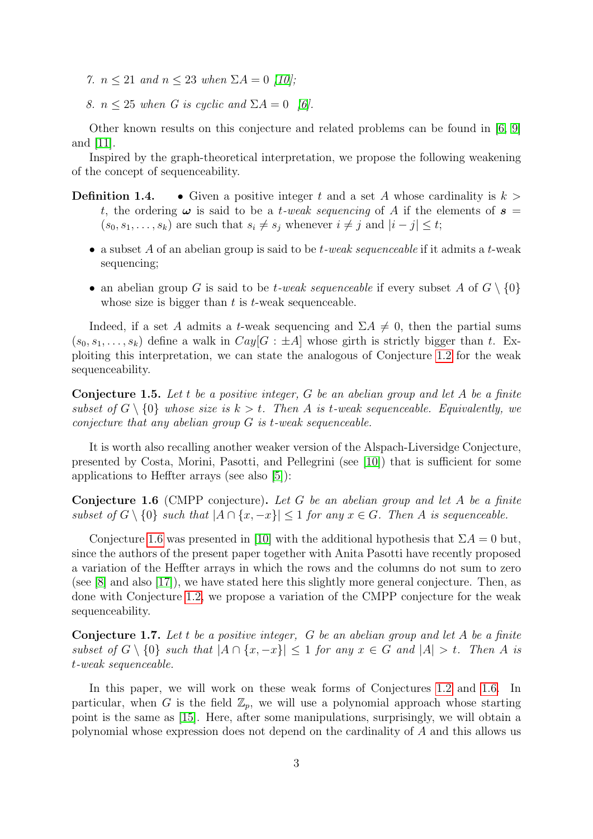- 7.  $n \leq 21$  and  $n \leq 23$  when  $\Sigma A = 0$  [\[10\]](#page-14-4);
- 8.  $n \leq 25$  when G is cyclic and  $\Sigma A = 0$  [\[6\]](#page-14-1).

Other known results on this conjecture and related problems can be found in [\[6,](#page-14-1) [9\]](#page-14-3) and [\[11\]](#page-14-11).

Inspired by the graph-theoretical interpretation, we propose the following weakening of the concept of sequenceability.

- **Definition 1.4.** Given a positive integer t and a set A whose cardinality is  $k >$ t, the ordering  $\omega$  is said to be a t-weak sequencing of A if the elements of  $s =$  $(s_0, s_1, \ldots, s_k)$  are such that  $s_i \neq s_j$  whenever  $i \neq j$  and  $|i - j| \leq t$ ;
	- a subset A of an abelian group is said to be  $t$ -weak sequenceable if it admits a  $t$ -weak sequencing;
	- an abelian group G is said to be *t*-weak sequenceable if every subset A of  $G \setminus \{0\}$ whose size is bigger than  $t$  is  $t$ -weak sequenceable.

Indeed, if a set A admits a t-weak sequencing and  $\Sigma A \neq 0$ , then the partial sums  $(s_0, s_1, \ldots, s_k)$  define a walk in  $Cay[G : \pm A]$  whose girth is strictly bigger than t. Exploiting this interpretation, we can state the analogous of Conjecture [1.2](#page-1-1) for the weak sequenceability.

<span id="page-2-1"></span>**Conjecture 1.5.** Let t be a positive integer, G be an abelian group and let A be a finite subset of  $G \setminus \{0\}$  whose size is  $k > t$ . Then A is t-weak sequenceable. Equivalently, we conjecture that any abelian group G is t-weak sequenceable.

It is worth also recalling another weaker version of the Alspach-Liversidge Conjecture, presented by Costa, Morini, Pasotti, and Pellegrini (see [\[10\]](#page-14-4)) that is sufficient for some applications to Heffter arrays (see also [\[5\]](#page-14-7)):

<span id="page-2-0"></span>**Conjecture 1.6** (CMPP conjecture). Let G be an abelian group and let A be a finite subset of  $G \setminus \{0\}$  such that  $|A \cap \{x, -x\}| \leq 1$  for any  $x \in G$ . Then A is sequenceable.

Conjecture [1.6](#page-2-0) was presented in [\[10\]](#page-14-4) with the additional hypothesis that  $\Sigma A = 0$  but, since the authors of the present paper together with Anita Pasotti have recently proposed a variation of the Heffter arrays in which the rows and the columns do not sum to zero (see [\[8\]](#page-14-12) and also [\[17\]](#page-15-0)), we have stated here this slightly more general conjecture. Then, as done with Conjecture [1.2,](#page-1-1) we propose a variation of the CMPP conjecture for the weak sequenceability.

<span id="page-2-2"></span>Conjecture 1.7. Let t be a positive integer, G be an abelian group and let A be a finite subset of  $G \setminus \{0\}$  such that  $|A \cap \{x, -x\}| \leq 1$  for any  $x \in G$  and  $|A| > t$ . Then A is t-weak sequenceable.

In this paper, we will work on these weak forms of Conjectures [1.2](#page-1-1) and [1.6.](#page-2-0) In particular, when G is the field  $\mathbb{Z}_n$ , we will use a polynomial approach whose starting point is the same as [\[15\]](#page-14-8). Here, after some manipulations, surprisingly, we will obtain a polynomial whose expression does not depend on the cardinality of A and this allows us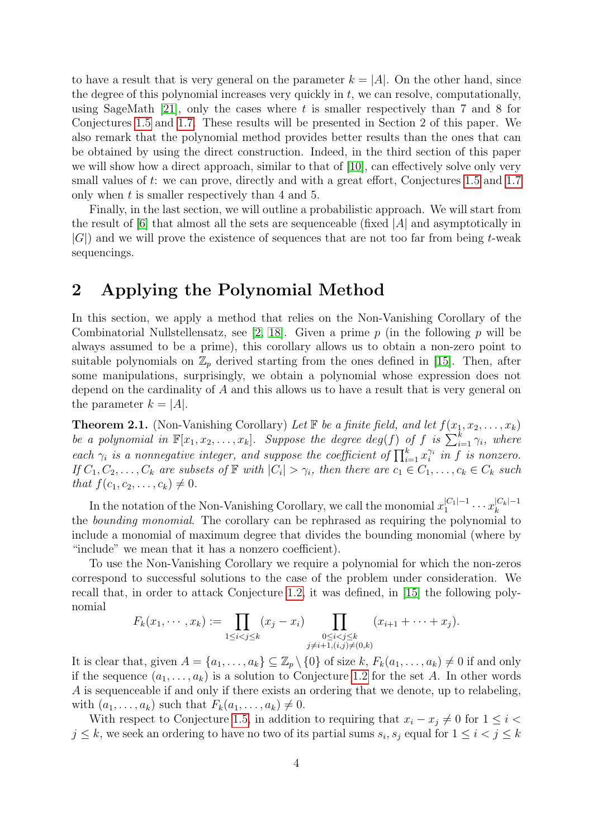to have a result that is very general on the parameter  $k = |A|$ . On the other hand, since the degree of this polynomial increases very quickly in  $t$ , we can resolve, computationally, using SageMath  $[21]$ , only the cases where t is smaller respectively than 7 and 8 for Conjectures [1.5](#page-2-1) and [1.7.](#page-2-2) These results will be presented in Section 2 of this paper. We also remark that the polynomial method provides better results than the ones that can be obtained by using the direct construction. Indeed, in the third section of this paper we will show how a direct approach, similar to that of [\[10\]](#page-14-4), can effectively solve only very small values of t: we can prove, directly and with a great effort, Conjectures [1.5](#page-2-1) and [1.7](#page-2-2) only when t is smaller respectively than 4 and 5.

Finally, in the last section, we will outline a probabilistic approach. We will start from the result of  $[6]$  that almost all the sets are sequenceable (fixed  $|A|$  and asymptotically in  $|G|$ ) and we will prove the existence of sequences that are not too far from being t-weak sequencings.

### 2 Applying the Polynomial Method

In this section, we apply a method that relies on the Non-Vanishing Corollary of the Combinatorial Nullstellensatz, see [\[2,](#page-14-13) [18\]](#page-15-2). Given a prime p (in the following p will be always assumed to be a prime), this corollary allows us to obtain a non-zero point to suitable polynomials on  $\mathbb{Z}_p$  derived starting from the ones defined in [\[15\]](#page-14-8). Then, after some manipulations, surprisingly, we obtain a polynomial whose expression does not depend on the cardinality of A and this allows us to have a result that is very general on the parameter  $k = |A|$ .

<span id="page-3-0"></span>**Theorem 2.1.** (Non-Vanishing Corollary) Let  $\mathbb F$  be a finite field, and let  $f(x_1, x_2, \ldots, x_k)$ be a polynomial in  $\mathbb{F}[x_1, x_2, \ldots, x_k]$ . Suppose the degree  $deg(f)$  of f is  $\sum_{i=1}^k \gamma_i$ , where each  $\gamma_i$  is a nonnegative integer, and suppose the coefficient of  $\prod_{i=1}^k x_i^{\gamma_i}$  in f is nonzero. If  $C_1, C_2, \ldots, C_k$  are subsets of  $\mathbb F$  with  $|C_i| > \gamma_i$ , then there are  $c_1 \in C_1, \ldots, c_k \in C_k$  such that  $f(c_1, c_2, \ldots, c_k) \neq 0$ .

In the notation of the Non-Vanishing Corollary, we call the monomial  $x_1^{|C_1|-1}$  $x_k^{|C_1|-1} \cdots x_k^{|C_k|-1}$ k the bounding monomial. The corollary can be rephrased as requiring the polynomial to include a monomial of maximum degree that divides the bounding monomial (where by "include" we mean that it has a nonzero coefficient).

To use the Non-Vanishing Corollary we require a polynomial for which the non-zeros correspond to successful solutions to the case of the problem under consideration. We recall that, in order to attack Conjecture [1.2,](#page-1-1) it was defined, in [\[15\]](#page-14-8) the following polynomial

$$
F_k(x_1, \dots, x_k) := \prod_{1 \leq i < j \leq k} (x_j - x_i) \prod_{\substack{0 \leq i < j \leq k \\ j \neq i+1, (i,j) \neq (0,k)}} (x_{i+1} + \dots + x_j).
$$

It is clear that, given  $A = \{a_1, \ldots, a_k\} \subseteq \mathbb{Z}_p \setminus \{0\}$  of size k,  $F_k(a_1, \ldots, a_k) \neq 0$  if and only if the sequence  $(a_1, \ldots, a_k)$  is a solution to Conjecture [1.2](#page-1-1) for the set A. In other words A is sequenceable if and only if there exists an ordering that we denote, up to relabeling, with  $(a_1, \ldots, a_k)$  such that  $F_k(a_1, \ldots, a_k) \neq 0$ .

With respect to Conjecture [1.5,](#page-2-1) in addition to requiring that  $x_i - x_j \neq 0$  for  $1 \leq i <$  $j \leq k$ , we seek an ordering to have no two of its partial sums  $s_i, s_j$  equal for  $1 \leq i < j \leq k$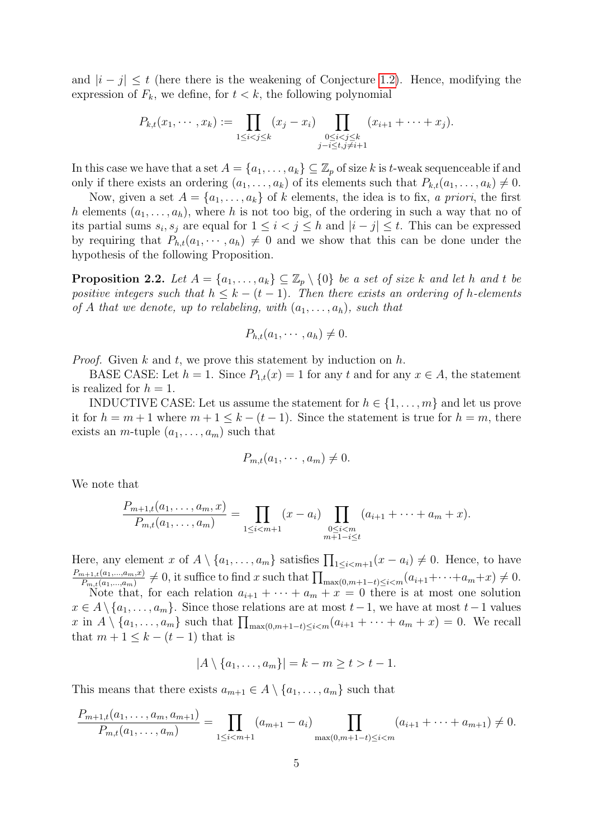and  $|i-j| \leq t$  (here there is the weakening of Conjecture [1.2\)](#page-1-1). Hence, modifying the expression of  $F_k$ , we define, for  $t < k$ , the following polynomial

$$
P_{k,t}(x_1, \dots, x_k) := \prod_{1 \leq i < j \leq k} (x_j - x_i) \prod_{\substack{0 \leq i < j \leq k \\ j-i \leq t, j \neq i+1}} (x_{i+1} + \dots + x_j).
$$

In this case we have that a set  $A = \{a_1, \ldots, a_k\} \subseteq \mathbb{Z}_p$  of size k is t-weak sequenceable if and only if there exists an ordering  $(a_1, \ldots, a_k)$  of its elements such that  $P_{k,t}(a_1, \ldots, a_k) \neq 0$ .

Now, given a set  $A = \{a_1, \ldots, a_k\}$  of k elements, the idea is to fix, a priori, the first h elements  $(a_1, \ldots, a_h)$ , where h is not too big, of the ordering in such a way that no of its partial sums  $s_i, s_j$  are equal for  $1 \leq i < j \leq h$  and  $|i - j| \leq t$ . This can be expressed by requiring that  $P_{h,t}(a_1, \dots, a_h) \neq 0$  and we show that this can be done under the hypothesis of the following Proposition.

<span id="page-4-0"></span>**Proposition 2.2.** Let  $A = \{a_1, \ldots, a_k\} \subseteq \mathbb{Z}_p \setminus \{0\}$  be a set of size k and let h and t be positive integers such that  $h \leq k - (t - 1)$ . Then there exists an ordering of h-elements of A that we denote, up to relabeling, with  $(a_1, \ldots, a_h)$ , such that

$$
P_{h,t}(a_1,\cdots,a_h)\neq 0.
$$

*Proof.* Given k and t, we prove this statement by induction on h.

BASE CASE: Let  $h = 1$ . Since  $P_{1,t}(x) = 1$  for any  $t$  and for any  $x \in A$ , the statement is realized for  $h = 1$ .

INDUCTIVE CASE: Let us assume the statement for  $h \in \{1, \ldots, m\}$  and let us prove it for  $h = m + 1$  where  $m + 1 \leq k - (t - 1)$ . Since the statement is true for  $h = m$ , there exists an *m*-tuple  $(a_1, \ldots, a_m)$  such that

$$
P_{m,t}(a_1,\cdots,a_m)\neq 0.
$$

We note that

$$
\frac{P_{m+1,t}(a_1,\ldots,a_m,x)}{P_{m,t}(a_1,\ldots,a_m)} = \prod_{1 \leq i < m+1} (x-a_i) \prod_{\substack{0 \leq i < m \\ m+1-i \leq t}} (a_{i+1} + \cdots + a_m + x).
$$

Here, any element x of  $A \setminus \{a_1, \ldots, a_m\}$  satisfies  $\prod_{1 \leq i < m+1}(x - a_i) \neq 0$ . Hence, to have  $P_{m+1,t}(a_1,...,a_m,x)$  $\frac{P_{m+1,t}(a_1,...,a_m,x)}{P_{m,t}(a_1,...,a_m)} \neq 0$ , it suffice to find x such that  $\prod_{\max(0,m+1-t)\leq i\leq m}(a_{i+1}+\cdots+a_m+x) \neq 0$ . Note that, for each relation  $a_{i+1} + \cdots + a_m + x = 0$  there is at most one solution

 $x \in A \setminus \{a_1, \ldots, a_m\}$ . Since those relations are at most  $t-1$ , we have at most  $t-1$  values x in  $A \setminus \{a_1, \ldots, a_m\}$  such that  $\prod_{\max(0,m+1-t)\leq i < m} (a_{i+1} + \cdots + a_m + x) = 0$ . We recall that  $m + 1 \leq k - (t - 1)$  that is

$$
|A \setminus \{a_1, \ldots, a_m\}| = k - m \ge t > t - 1.
$$

This means that there exists  $a_{m+1} \in A \setminus \{a_1, \ldots, a_m\}$  such that

$$
\frac{P_{m+1,t}(a_1,\ldots,a_m,a_{m+1})}{P_{m,t}(a_1,\ldots,a_m)}=\prod_{1\leq i
$$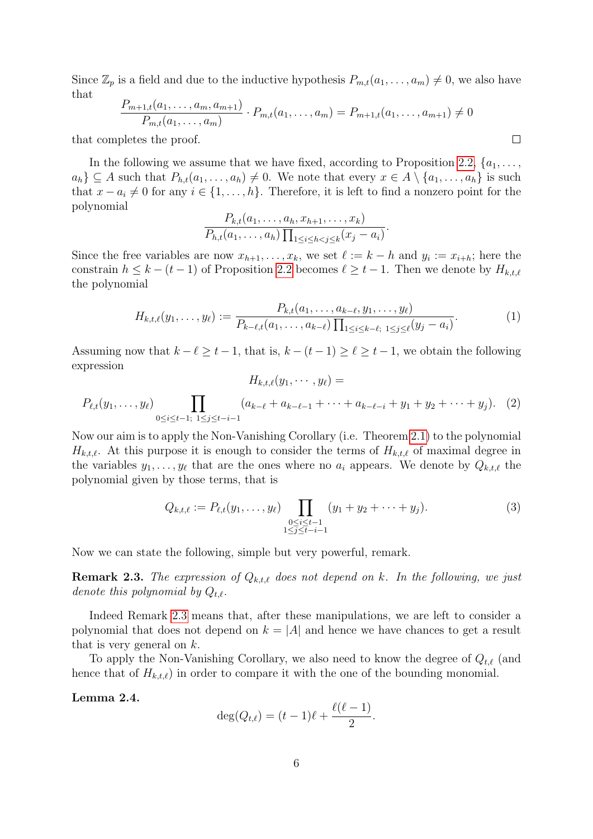Since  $\mathbb{Z}_p$  is a field and due to the inductive hypothesis  $P_{m,t}(a_1,\ldots,a_m) \neq 0$ , we also have that

$$
\frac{P_{m+1,t}(a_1,\ldots,a_m,a_{m+1})}{P_{m,t}(a_1,\ldots,a_m)}\cdot P_{m,t}(a_1,\ldots,a_m) = P_{m+1,t}(a_1,\ldots,a_{m+1}) \neq 0
$$

 $\Box$ 

that completes the proof.

In the following we assume that we have fixed, according to Proposition [2.2,](#page-4-0)  $\{a_1, \ldots,$  $a_h \} \subseteq A$  such that  $P_{h,t}(a_1,\ldots,a_h) \neq 0$ . We note that every  $x \in A \setminus \{a_1,\ldots,a_h\}$  is such that  $x - a_i \neq 0$  for any  $i \in \{1, ..., h\}$ . Therefore, it is left to find a nonzero point for the polynomial

$$
\frac{P_{k,t}(a_1,\ldots,a_h,x_{h+1},\ldots,x_k)}{P_{h,t}(a_1,\ldots,a_h)\prod_{1\leq i\leq h
$$

Since the free variables are now  $x_{h+1}, \ldots, x_k$ , we set  $\ell := k - h$  and  $y_i := x_{i+h}$ ; here the constrain  $h \leq k - (t - 1)$  of Proposition [2.2](#page-4-0) becomes  $\ell \geq t - 1$ . Then we denote by  $H_{k,t,\ell}$ the polynomial

<span id="page-5-2"></span>
$$
H_{k,t,\ell}(y_1,\ldots,y_\ell) := \frac{P_{k,t}(a_1,\ldots,a_{k-\ell},y_1,\ldots,y_\ell)}{P_{k-\ell,t}(a_1,\ldots,a_{k-\ell})\prod_{1\leq i\leq k-\ell;\ 1\leq j\leq \ell}(y_j-a_i)}.
$$
(1)

Assuming now that  $k - \ell \geq t - 1$ , that is,  $k - (t - 1) \geq \ell \geq t - 1$ , we obtain the following expression  $H_{k,t}(\mathbf{y}_1, \cdots, \mathbf{y}_\ell) =$ 

<span id="page-5-1"></span>
$$
P_{\ell,t}(y_1,\ldots,y_\ell)\prod_{0\leq i\leq t-1;\ 1\leq j\leq t-i-1}(a_{k-\ell}+a_{k-\ell-1}+\cdots+a_{k-\ell-i}+y_1+y_2+\cdots+y_j). (2)
$$

Now our aim is to apply the Non-Vanishing Corollary (i.e. Theorem [2.1\)](#page-3-0) to the polynomial  $H_{k,t,\ell}$ . At this purpose it is enough to consider the terms of  $H_{k,t,\ell}$  of maximal degree in the variables  $y_1, \ldots, y_\ell$  that are the ones where no  $a_i$  appears. We denote by  $Q_{k,t,\ell}$  the polynomial given by those terms, that is

<span id="page-5-3"></span>
$$
Q_{k,t,\ell} := P_{\ell,t}(y_1,\ldots,y_\ell) \prod_{\substack{0 \le i \le t-1 \\ 1 \le j \le t-i-1}} (y_1 + y_2 + \cdots + y_j). \tag{3}
$$

Now we can state the following, simple but very powerful, remark.

<span id="page-5-0"></span>**Remark 2.3.** The expression of  $Q_{k,t,\ell}$  does not depend on k. In the following, we just denote this polynomial by  $Q_{t,\ell}$ .

Indeed Remark [2.3](#page-5-0) means that, after these manipulations, we are left to consider a polynomial that does not depend on  $k = |A|$  and hence we have chances to get a result that is very general on  $k$ .

To apply the Non-Vanishing Corollary, we also need to know the degree of  $Q_{t,\ell}$  (and hence that of  $H_{k,t,\ell}$ ) in order to compare it with the one of the bounding monomial.

Lemma 2.4.

$$
\deg(Q_{t,\ell}) = (t-1)\ell + \frac{\ell(\ell-1)}{2}.
$$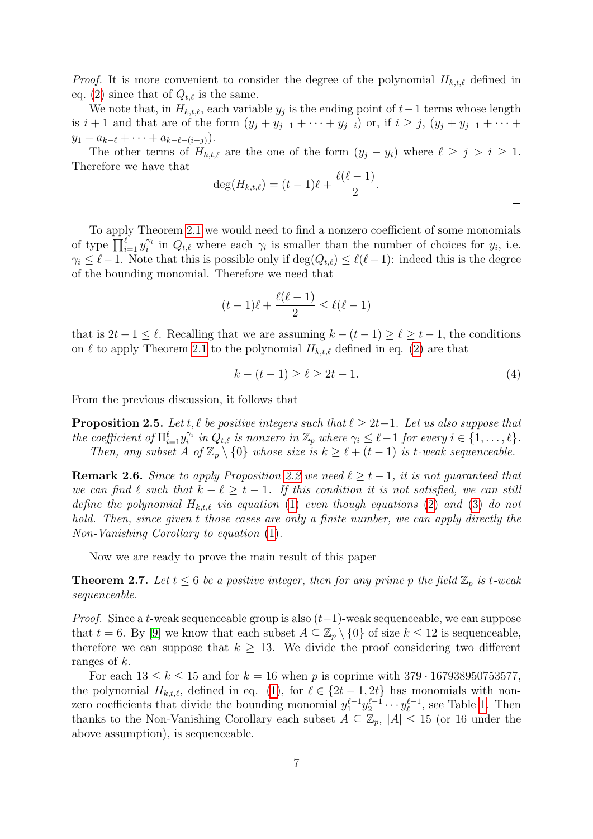*Proof.* It is more convenient to consider the degree of the polynomial  $H_{k,t,\ell}$  defined in eq. [\(2\)](#page-5-1) since that of  $Q_{t,\ell}$  is the same.

We note that, in  $H_{k,t,\ell}$ , each variable  $y_j$  is the ending point of  $t-1$  terms whose length is  $i + 1$  and that are of the form  $(y_j + y_{j-1} + \cdots + y_{j-i})$  or, if  $i \geq j$ ,  $(y_j + y_{j-1} + \cdots + y_{j-i})$  $y_1 + a_{k-\ell} + \cdots + a_{k-\ell-(i-j)}$ .

The other terms of  $H_{k,t,\ell}$  are the one of the form  $(y_j - y_i)$  where  $\ell \geq j > i \geq 1$ . Therefore we have that

$$
\deg(H_{k,t,\ell}) = (t-1)\ell + \frac{\ell(\ell-1)}{2}.
$$

To apply Theorem [2.1](#page-3-0) we would need to find a nonzero coefficient of some monomials of type  $\prod_{i=1}^{\ell} y_i^{\gamma_i}$  in  $Q_{t,\ell}$  where each  $\gamma_i$  is smaller than the number of choices for  $y_i$ , i.e.  $\gamma_i \leq \ell-1$ . Note that this is possible only if  $\deg(Q_{t,\ell}) \leq \ell(\ell-1)$ : indeed this is the degree of the bounding monomial. Therefore we need that

$$
(t-1)\ell + \frac{\ell(\ell-1)}{2} \le \ell(\ell-1)
$$

that is  $2t - 1 \leq \ell$ . Recalling that we are assuming  $k - (t - 1) \geq \ell \geq t - 1$ , the conditions on  $\ell$  to apply Theorem [2.1](#page-3-0) to the polynomial  $H_{k,t,\ell}$  defined in eq. [\(2\)](#page-5-1) are that

$$
k - (t - 1) \ge \ell \ge 2t - 1. \tag{4}
$$

From the previous discussion, it follows that

<span id="page-6-0"></span>**Proposition 2.5.** Let t,  $\ell$  be positive integers such that  $\ell \geq 2t-1$ . Let us also suppose that the coefficient of  $\Pi_{i=1}^{\ell} y_i^{\gamma_i}$  in  $Q_{t,\ell}$  is nonzero in  $\mathbb{Z}_p$  where  $\gamma_i \leq \ell - 1$  for every  $i \in \{1, \ldots, \ell\}$ . Then, any subset A of  $\mathbb{Z}_p \setminus \{0\}$  whose size is  $k \geq \ell + (t - 1)$  is t-weak sequenceable.

**Remark 2.6.** Since to apply Proposition [2.2](#page-4-0) we need  $\ell \geq t - 1$ , it is not guaranteed that we can find  $\ell$  such that  $k - \ell \geq t - 1$ . If this condition it is not satisfied, we can still define the polynomial  $H_{k,t,\ell}$  via equation [\(1\)](#page-5-2) even though equations [\(2\)](#page-5-1) and [\(3\)](#page-5-3) do not hold. Then, since given t those cases are only a finite number, we can apply directly the Non-Vanishing Corollary to equation [\(1\)](#page-5-2).

Now we are ready to prove the main result of this paper

<span id="page-6-1"></span>**Theorem 2.7.** Let  $t \leq 6$  be a positive integer, then for any prime p the field  $\mathbb{Z}_p$  is t-weak sequenceable.

*Proof.* Since a t-weak sequenceable group is also  $(t-1)$ -weak sequenceable, we can suppose that  $t = 6$ . By [\[9\]](#page-14-3) we know that each subset  $A \subseteq \mathbb{Z}_p \setminus \{0\}$  of size  $k \leq 12$  is sequenceable, therefore we can suppose that  $k \geq 13$ . We divide the proof considering two different ranges of k.

For each  $13 \leq k \leq 15$  and for  $k = 16$  when p is coprime with  $379 \cdot 167938950753577$ , the polynomial  $H_{k,t,\ell}$ , defined in eq. [\(1\)](#page-5-2), for  $\ell \in \{2t - 1, 2t\}$  has monomials with nonzero coefficients that divide the bounding monomial  $y_1^{\ell-1} y_2^{\ell-1} \cdots y_\ell^{\ell-1}$  $\ell_{\ell}^{\ell-1}$ , see Table [1.](#page-7-0) Then thanks to the Non-Vanishing Corollary each subset  $A \subseteq \mathbb{Z}_p$ ,  $|A| \leq 15$  (or 16 under the above assumption), is sequenceable.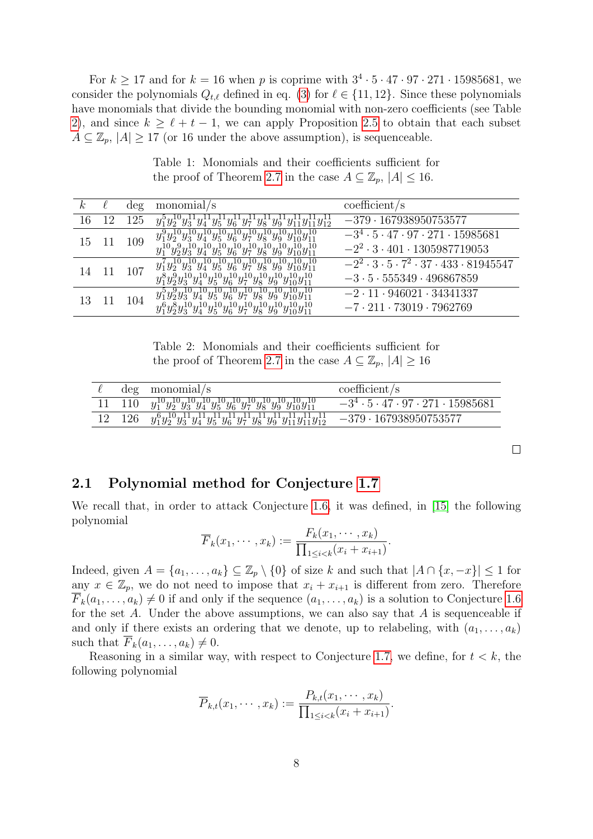For  $k \geq 17$  and for  $k = 16$  when p is coprime with  $3^4 \cdot 5 \cdot 47 \cdot 97 \cdot 271 \cdot 15985681$ , we consider the polynomials  $Q_{t,\ell}$  defined in eq. [\(3\)](#page-5-3) for  $\ell \in \{11, 12\}$ . Since these polynomials have monomials that divide the bounding monomial with non-zero coefficients (see Table [2\)](#page-7-1), and since  $k \ge \ell + t - 1$ , we can apply Proposition [2.5](#page-6-0) to obtain that each subset  $A \subseteq \mathbb{Z}_p$ ,  $|A| \geq 17$  (or 16 under the above assumption), is sequenceable.

Table 1: Monomials and their coefficients sufficient for the proof of Theorem [2.7](#page-6-1) in the case  $A \subseteq \mathbb{Z}_p$ ,  $|A| \leq 16$ .

<span id="page-7-0"></span>

| $\kappa$ | deg | monomial/s                                                                                                            | coefficient/s                                                      |
|----------|-----|-----------------------------------------------------------------------------------------------------------------------|--------------------------------------------------------------------|
| 16       | 125 | $y_1^{\rm b}y_2^{\rm 10}$<br>$y_5^{\perp}$<br>$y_{11} + y_{11} + y_{12}$<br>$y_7$<br>$y_{6}^{-1}$<br>$y_{3}$<br>$y_8$ | $-379 \cdot 167938950753577$                                       |
| 15       | 109 | $y_1^9y_2^{10}y_3^{10}y_4^{10}y_5^{10}y_6^{10}y_7^{10}y_8^{10}y_9^{10}y_{10}^{10}y_{11}^{10}$                         | $-3^4 \cdot 5 \cdot 47 \cdot 97 \cdot 271 \cdot 15985681$          |
|          |     | $y_1^{10}y_2^9y_3^{10}y_4^{10}y_5^{10}y_6^{10}y_7^{10}y_8^{10}y_9^{10}y_{10}^{10}y_{11}^{10}$<br>Чī                   | $-2^2 \cdot 3 \cdot 401 \cdot 1305987719053$                       |
| 14       | 107 | $y_1^7y_2^{10}y_3^{10}y_4^{10}y_5^{10}y_6^{10}y_7^{10}y_8^{10}y_9^{10}y_{10}^{10}y_{11}^{10}$                         | $-2^2 \cdot 3 \cdot 5 \cdot 7^2 \cdot 37 \cdot 433 \cdot 81945547$ |
|          |     | $y_1^8y_2^9y_3^{10}y_4^{10}y_5^{10}y_6^{10}y_7^{10}y_8^{10}y_9^{10}y_{10}^{10}y_{11}^{10}$                            | $-3 \cdot 5 \cdot 555349 \cdot 496867859$                          |
| 13       | 104 | $y_1^5y_2^9y_3^{10}y_4^{10}y_5^{10}y_6^{10}y_7^{10}y_8^{10}y_9^{10}y_{10}^{10}y_{11}^{10}$                            | $-2 \cdot 11 \cdot 946021 \cdot 34341337$                          |
|          |     | $y_3^{10}y_4^{10}y_5^{10}y_6^{10}y_7^{10}y_8^{10}y_9^{10}y_{10}^{10}y_{11}^{10}$<br>$y_1^6y_2^8y_3^{10}$              | $-7 \cdot 211 \cdot 73019 \cdot 7962769$                           |

Table 2: Monomials and their coefficients sufficient for the proof of Theorem [2.7](#page-6-1) in the case  $A \subseteq \mathbb{Z}_p$ ,  $|A| \geq 16$ 

<span id="page-7-1"></span>

|     | $\deg$ monomial/s                                                                                          | coefficient/s                                             |
|-----|------------------------------------------------------------------------------------------------------------|-----------------------------------------------------------|
|     | $110 \quad y_1^{10}y_2^{10}y_3^{10}y_4^{10}y_5^{10}y_6^{10}y_7^{10}y_8^{10}y_9^{10}y_{10}^{10}y_{11}^{10}$ | $-3^4 \cdot 5 \cdot 47 \cdot 97 \cdot 271 \cdot 15985681$ |
| 126 | $y_1^6y_2^{10}y_3^{11}y_4^{11}y_5^{11}y_6^{11}y_7^{11}y_8^{11}y_9^{11}y_{11}^{11}y_{11}^{11}y_{12}^{11}$   | $-379 \cdot 167938950753577$                              |

 $\Box$ 

### 2.1 Polynomial method for Conjecture [1.7](#page-2-2)

We recall that, in order to attack Conjecture [1.6,](#page-2-0) it was defined, in [\[15\]](#page-14-8) the following polynomial

$$
\overline{F}_k(x_1,\dots,x_k) := \frac{F_k(x_1,\dots,x_k)}{\prod_{1\leq i < k}(x_i+x_{i+1})}.
$$

Indeed, given  $A = \{a_1, \ldots, a_k\} \subseteq \mathbb{Z}_p \setminus \{0\}$  of size k and such that  $|A \cap \{x, -x\}| \leq 1$  for any  $x \in \mathbb{Z}_p$ , we do not need to impose that  $x_i + x_{i+1}$  is different from zero. Therefore  $F_k(a_1, \ldots, a_k) \neq 0$  if and only if the sequence  $(a_1, \ldots, a_k)$  is a solution to Conjecture [1.6](#page-2-0) for the set A. Under the above assumptions, we can also say that  $A$  is sequenceable if and only if there exists an ordering that we denote, up to relabeling, with  $(a_1, \ldots, a_k)$ such that  $\overline{F}_k(a_1, \ldots, a_k) \neq 0$ .

Reasoning in a similar way, with respect to Conjecture [1.7,](#page-2-2) we define, for  $t < k$ , the following polynomial

$$
\overline{P}_{k,t}(x_1,\dots,x_k) := \frac{P_{k,t}(x_1,\dots,x_k)}{\prod_{1 \le i < k} (x_i + x_{i+1})}.
$$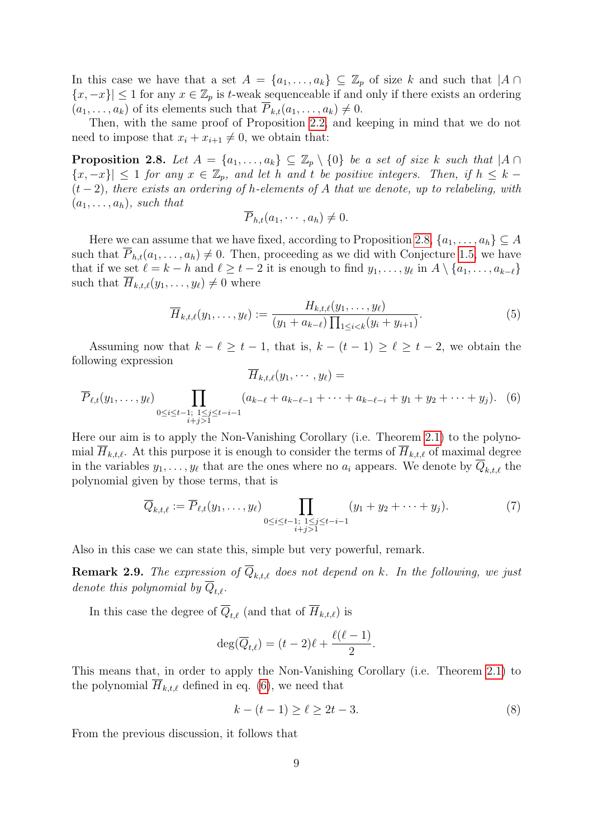In this case we have that a set  $A = \{a_1, \ldots, a_k\} \subseteq \mathbb{Z}_p$  of size k and such that  $|A \cap$  $\{x, -x\}$  ≤ 1 for any  $x \in \mathbb{Z}_p$  is t-weak sequenceable if and only if there exists an ordering  $(a_1, \ldots, a_k)$  of its elements such that  $P_{k,t}(a_1, \ldots, a_k) \neq 0$ .

Then, with the same proof of Proposition [2.2,](#page-4-0) and keeping in mind that we do not need to impose that  $x_i + x_{i+1} \neq 0$ , we obtain that:

<span id="page-8-0"></span>**Proposition 2.8.** Let  $A = \{a_1, \ldots, a_k\} \subseteq \mathbb{Z}_p \setminus \{0\}$  be a set of size k such that  $|A \cap B|$  $\{x, -x\}$ |  $\leq 1$  for any  $x \in \mathbb{Z}_p$ , and let h and t be positive integers. Then, if  $h \leq k (t-2)$ , there exists an ordering of h-elements of A that we denote, up to relabeling, with  $(a_1, \ldots, a_h)$ , such that

$$
\overline{P}_{h,t}(a_1,\cdots,a_h)\neq 0.
$$

Here we can assume that we have fixed, according to Proposition [2.8,](#page-8-0)  $\{a_1, \ldots, a_h\} \subseteq A$ such that  $P_{h,t}(a_1,\ldots,a_h) \neq 0$ . Then, proceeding as we did with Conjecture [1.5,](#page-2-1) we have that if we set  $\ell = k - h$  and  $\ell \geq t - 2$  it is enough to find  $y_1, \ldots, y_\ell$  in  $A \setminus \{a_1, \ldots, a_{k-\ell}\}\$ such that  $H_{k,t,\ell}(y_1,\ldots,y_\ell) \neq 0$  where

<span id="page-8-2"></span>
$$
\overline{H}_{k,t,\ell}(y_1,\ldots,y_\ell) := \frac{H_{k,t,\ell}(y_1,\ldots,y_\ell)}{(y_1 + a_{k-\ell}) \prod_{1 \le i < k} (y_i + y_{i+1})}.\tag{5}
$$

Assuming now that  $k - \ell \geq t - 1$ , that is,  $k - (t - 1) \geq \ell \geq t - 2$ , we obtain the following expression  $\overline{H}_{k,t,\ell}(y_1,\cdots,y_\ell) =$ 

<span id="page-8-1"></span>
$$
\overline{P}_{\ell,t}(y_1,\ldots,y_\ell)\prod_{\substack{0\le i\le t-1;\ 1\le j\le t-i-1\\i+j\ge 1}}(a_{k-\ell}+a_{k-\ell-1}+\cdots+a_{k-\ell-i}+y_1+y_2+\cdots+y_j). \tag{6}
$$

Here our aim is to apply the Non-Vanishing Corollary (i.e. Theorem [2.1\)](#page-3-0) to the polynomial  $H_{k,t,\ell}$ . At this purpose it is enough to consider the terms of  $H_{k,t,\ell}$  of maximal degree in the variables  $y_1, \ldots, y_\ell$  that are the ones where no  $a_i$  appears. We denote by  $Q_{k,t,\ell}$  the polynomial given by those terms, that is

<span id="page-8-3"></span>
$$
\overline{Q}_{k,t,\ell} := \overline{P}_{\ell,t}(y_1,\ldots,y_\ell) \prod_{\substack{0 \le i \le t-1; \ 1 \le j \le t-i-1 \\ i+j>1}} (y_1 + y_2 + \cdots + y_j). \tag{7}
$$

Also in this case we can state this, simple but very powerful, remark.

**Remark 2.9.** The expression of  $\overline{Q}_{k,t,\ell}$  does not depend on k. In the following, we just denote this polynomial by  $\overline{Q}_{t,\ell}$ .

In this case the degree of  $\overline{Q}_{t,\ell}$  (and that of  $\overline{H}_{k,t,\ell}$ ) is

$$
\deg(\overline{Q}_{t,\ell}) = (t-2)\ell + \frac{\ell(\ell-1)}{2}.
$$

This means that, in order to apply the Non-Vanishing Corollary (i.e. Theorem [2.1\)](#page-3-0) to the polynomial  $H_{k,t,\ell}$  defined in eq. [\(6\)](#page-8-1), we need that

$$
k - (t - 1) \ge \ell \ge 2t - 3. \tag{8}
$$

From the previous discussion, it follows that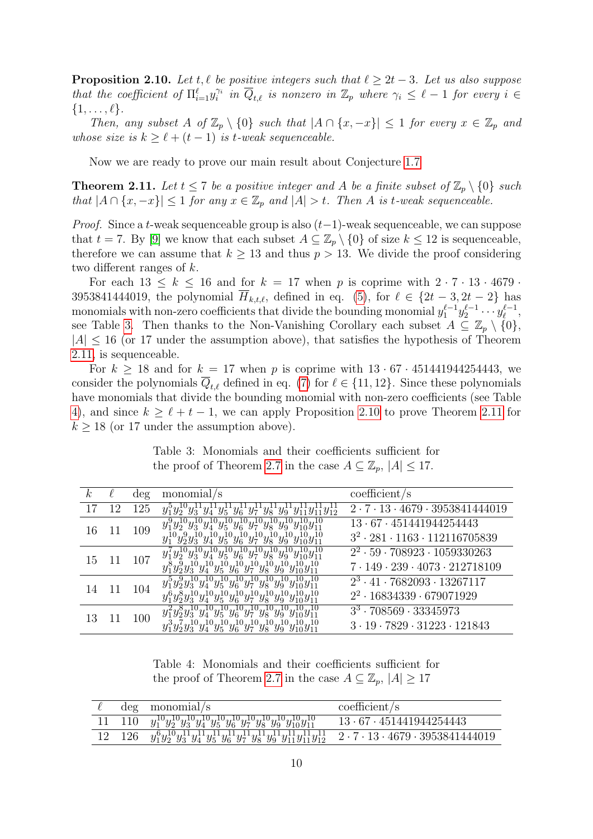<span id="page-9-3"></span>**Proposition 2.10.** Let t,  $\ell$  be positive integers such that  $\ell \geq 2t - 3$ . Let us also suppose that the coefficient of  $\Pi_{i=1}^\ell y_i^{\gamma_i}$  in  $\overline{Q}_{t,\ell}$  is nonzero in  $\mathbb{Z}_p$  where  $\gamma_i \leq \ell - 1$  for every  $i \in$  $\{1,\ldots,\ell\}.$ 

Then, any subset A of  $\mathbb{Z}_p \setminus \{0\}$  such that  $|A \cap \{x, -x\}| \leq 1$  for every  $x \in \mathbb{Z}_p$  and whose size is  $k \geq \ell + (t - 1)$  is t-weak sequenceable.

Now we are ready to prove our main result about Conjecture [1.7](#page-2-2)

<span id="page-9-1"></span>**Theorem 2.11.** Let  $t \le 7$  be a positive integer and A be a finite subset of  $\mathbb{Z}_p \setminus \{0\}$  such that  $|A \cap \{x, -x\}| \leq 1$  for any  $x \in \mathbb{Z}_p$  and  $|A| > t$ . Then A is t-weak sequenceable.

*Proof.* Since a t-weak sequenceable group is also  $(t-1)$ -weak sequenceable, we can suppose that  $t = 7$ . By [\[9\]](#page-14-3) we know that each subset  $A \subseteq \mathbb{Z}_p \setminus \{0\}$  of size  $k \le 12$  is sequenceable, therefore we can assume that  $k \geq 13$  and thus  $p > 13$ . We divide the proof considering two different ranges of k.

For each  $13 \leq k \leq 16$  and for  $k = 17$  when p is coprime with  $2 \cdot 7 \cdot 13 \cdot 4679$ . 3953841444019, the polynomial  $\overline{H}_{k,t,\ell}$ , defined in eq. [\(5\)](#page-8-2), for  $\ell \in \{2t - 3, 2t - 2\}$  has monomials with non-zero coefficients that divide the bounding monomial  $y_1^{\ell-1} y_2^{\ell-1} \cdots y_\ell^{\ell-1}$  $\frac{\ell-1}{\ell},$ see Table [3.](#page-9-0) Then thanks to the Non-Vanishing Corollary each subset  $A \subseteq \mathbb{Z}_p \setminus \{0\},\$  $|A| \leq 16$  (or 17 under the assumption above), that satisfies the hypothesis of Theorem [2.11,](#page-9-1) is sequenceable.

For  $k \ge 18$  and for  $k = 17$  when p is coprime with  $13 \cdot 67 \cdot 451441944254443$ , we consider the polynomials  $Q_{t,\ell}$  defined in eq. [\(7\)](#page-8-3) for  $\ell \in \{11, 12\}$ . Since these polynomials have monomials that divide the bounding monomial with non-zero coefficients (see Table [4\)](#page-9-2), and since  $k \ge \ell + t - 1$ , we can apply Proposition [2.10](#page-9-3) to prove Theorem [2.11](#page-9-1) for  $k \geq 18$  (or 17 under the assumption above).

Table 3: Monomials and their coefficients sufficient for the proof of Theorem [2.7](#page-6-1) in the case  $A \subseteq \mathbb{Z}_p$ ,  $|A| \leq 17$ .

<span id="page-9-0"></span>

| k. |    | deg | monomial/s                                                                                                                                                                                                                                                                      | coefficient/s                                                                                      |
|----|----|-----|---------------------------------------------------------------------------------------------------------------------------------------------------------------------------------------------------------------------------------------------------------------------------------|----------------------------------------------------------------------------------------------------|
|    | 12 | 125 | $\overline{y_1^5y_2^{10}y_3^{11}y_4^{11}y_5^{11}y_6^{11}y_7^{11}y_8^{11}y_9^{11}y_{11}^{11}y_{12}^{11}}$                                                                                                                                                                        | $2 \cdot 7 \cdot 13 \cdot 4679 \cdot 3953841444019$                                                |
| 16 | 11 | 109 | $y_1^9y_2^{10}y_3^{10}y_4^{10}y_5^{10}y_6^{10}y_7^{10}y_8^{10}y_9^{10}y_{10}^{10}y_{11}^{10}$<br>$y_1^{10}y_2^{9}y_3^{10}y_4^{10}y_5^{10}y_6^{10}y_7^{10}y_8^{10}y_9^{10}y_{10}^{10}y_{11}^{10}$                                                                                | 13 · 67 · 451441944254443<br>$3^2 \cdot 281 \cdot 1163 \cdot 112116705839$                         |
| 15 | 11 | 107 | $y_1' y_2^2 y_3^2 y_4^2 y_5^2 y_6^2 y_7^2 y_8^2 y_9^2 y_{10} y_{11}$<br>$y_1^8y_2^9y_3^{10}y_4^{10}y_5^{10}y_6^{10}y_7^{10}y_8^{10}y_9^{10}y_{10}^{10}y_{11}^{10}$                                                                                                              | $2^2 \cdot 59 \cdot 708923 \cdot 1059330263$<br>$7 \cdot 149 \cdot 239 \cdot 4073 \cdot 212718109$ |
| 14 | 11 | 104 | $y_1^5y_2^9y_3^{10}y_4^{10}y_5^{10}y_6^{10}y_7^{10}y_8^{10}y_9^{10}y_{10}^{10}y_{11}^{10}$<br>$y_1^6y_2^8y_3^{10}y_4^{10}y_5^{10}y_6^{10}y_7^{10}y_8^{10}y_9^{10}y_{10}^{10}y_{11}^{10}$                                                                                        | $2^3 \cdot 41 \cdot 7682093 \cdot 13267117$<br>$2^2 \cdot 16834339 \cdot 679071929$                |
| 13 |    | 100 | $10_{a}, 10_{a}, 10_{a}, 10_{a}, 10_{a}, 10_{a}, 10_{a}, 10_{a}, 10_{a}$<br>$\overline{y_1^2y_2^8y_3^{10}y_4^{10}y_5^{10}y_6^{10}y_7^{10}y_8^{10}y_9^{10}y_{10}^{10}y_{11}^{10}}$<br>$y_1^3y_2^7y_3^{10}y_4^{10}y_5^{10}y_6^{10}y_7^{10}y_8^{10}y_9^{10}y_{10}^{10}y_{11}^{10}$ | $3^3 \cdot 708569 \cdot 33345973$<br>$3 \cdot 19 \cdot 7829 \cdot 31223 \cdot 121843$              |

Table 4: Monomials and their coefficients sufficient for the proof of Theorem [2.7](#page-6-1) in the case  $A \subseteq \mathbb{Z}_p$ ,  $|A| \geq 17$ 

<span id="page-9-2"></span>

|        | $\deg$ monomial/s                                                                                                                                 | coefficient/s                       |
|--------|---------------------------------------------------------------------------------------------------------------------------------------------------|-------------------------------------|
|        | 11 110 $y_1^{10}y_2^{10}y_3^{10}y_4^{10}y_5^{10}y_6^{10}y_7^{10}y_8^{10}y_9^{10}y_{10}^{10}y_{11}^{10}$                                           | $13 \cdot 67 \cdot 451441944254443$ |
| 12 126 | $y_1^6y_2^{10}y_3^{11}y_4^{11}y_5^{11}y_6^{11}y_7^{11}y_8^{11}y_9^{11}y_{11}^{11}y_{12}^{11}$ $2 \cdot 7 \cdot 13 \cdot 4679 \cdot 3953841444019$ |                                     |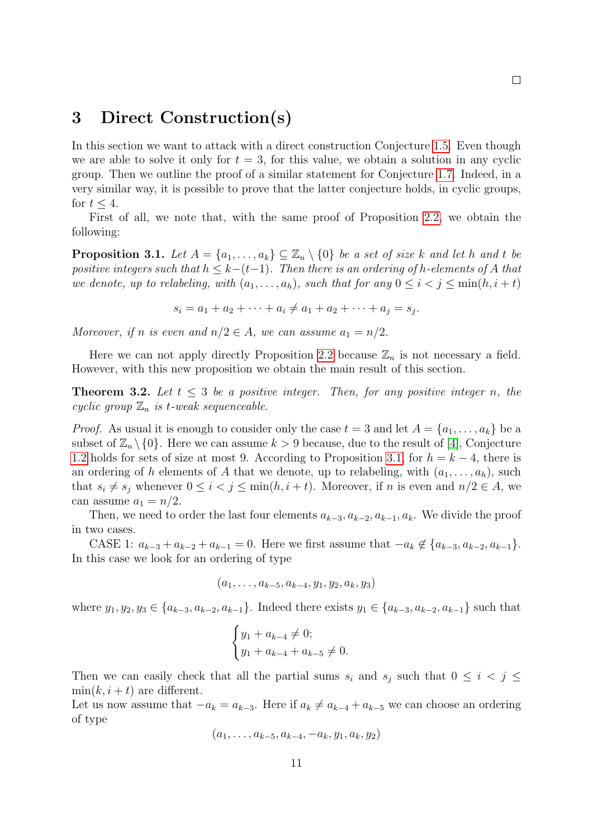### 3 Direct Construction(s)

In this section we want to attack with a direct construction Conjecture [1.5.](#page-2-1) Even though we are able to solve it only for  $t = 3$ , for this value, we obtain a solution in any cyclic group. Then we outline the proof of a similar statement for Conjecture [1.7.](#page-2-2) Indeed, in a very similar way, it is possible to prove that the latter conjecture holds, in cyclic groups, for  $t \leq 4$ .

First of all, we note that, with the same proof of Proposition [2.2,](#page-4-0) we obtain the following:

<span id="page-10-0"></span>**Proposition 3.1.** Let  $A = \{a_1, \ldots, a_k\} \subseteq \mathbb{Z}_n \setminus \{0\}$  be a set of size k and let h and t be positive integers such that  $h \leq k-(t-1)$ . Then there is an ordering of h-elements of A that we denote, up to relabeling, with  $(a_1, \ldots, a_h)$ , such that for any  $0 \leq i \leq j \leq \min(h, i + t)$ 

 $s_i = a_1 + a_2 + \cdots + a_i \neq a_1 + a_2 + \cdots + a_j = s_j.$ 

Moreover, if n is even and  $n/2 \in A$ , we can assume  $a_1 = n/2$ .

Here we can not apply directly Proposition [2.2](#page-4-0) because  $\mathbb{Z}_n$  is not necessary a field. However, with this new proposition we obtain the main result of this section.

<span id="page-10-1"></span>**Theorem 3.2.** Let  $t \leq 3$  be a positive integer. Then, for any positive integer n, the cyclic group  $\mathbb{Z}_n$  is t-weak sequenceable.

*Proof.* As usual it is enough to consider only the case  $t = 3$  and let  $A = \{a_1, \ldots, a_k\}$  be a subset of  $\mathbb{Z}_n \setminus \{0\}$ . Here we can assume  $k > 9$  because, due to the result of [\[4\]](#page-14-0), Conjecture [1.2](#page-1-1) holds for sets of size at most 9. According to Proposition [3.1,](#page-10-0) for  $h = k - 4$ , there is an ordering of h elements of A that we denote, up to relabeling, with  $(a_1, \ldots, a_h)$ , such that  $s_i \neq s_j$  whenever  $0 \leq i < j \leq \min(h, i + t)$ . Moreover, if n is even and  $n/2 \in A$ , we can assume  $a_1 = n/2$ .

Then, we need to order the last four elements  $a_{k-3}, a_{k-2}, a_{k-1}, a_k$ . We divide the proof in two cases.

CASE 1:  $a_{k-3} + a_{k-2} + a_{k-1} = 0$ . Here we first assume that  $-a_k \notin \{a_{k-3}, a_{k-2}, a_{k-1}\}.$ In this case we look for an ordering of type

$$
(a_1,\ldots,a_{k-5},a_{k-4},y_1,y_2,a_k,y_3)
$$

where  $y_1, y_2, y_3 \in \{a_{k-3}, a_{k-2}, a_{k-1}\}.$  Indeed there exists  $y_1 \in \{a_{k-3}, a_{k-2}, a_{k-1}\}\$  such that

$$
\begin{cases} y_1 + a_{k-4} \neq 0; \\ y_1 + a_{k-4} + a_{k-5} \neq 0. \end{cases}
$$

Then we can easily check that all the partial sums  $s_i$  and  $s_j$  such that  $0 \leq i \leq j \leq k$  $\min(k, i + t)$  are different.

Let us now assume that  $-a_k = a_{k-3}$ . Here if  $a_k \neq a_{k-4} + a_{k-5}$  we can choose an ordering of type

$$
(a_1, \ldots, a_{k-5}, a_{k-4}, -a_k, y_1, a_k, y_2)
$$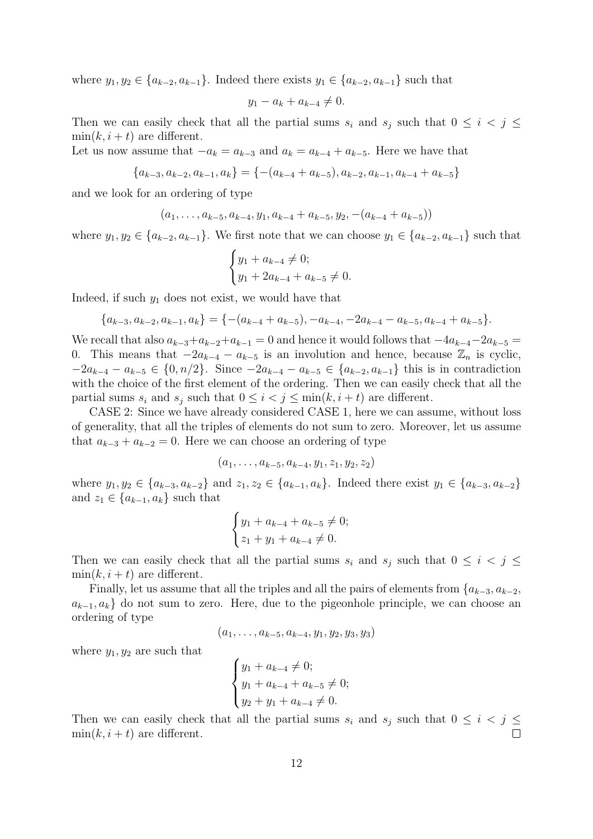where  $y_1, y_2 \in \{a_{k-2}, a_{k-1}\}.$  Indeed there exists  $y_1 \in \{a_{k-2}, a_{k-1}\}\$  such that

$$
y_1 - a_k + a_{k-4} \neq 0.
$$

Then we can easily check that all the partial sums  $s_i$  and  $s_j$  such that  $0 \leq i \leq j \leq k$  $\min(k, i + t)$  are different.

Let us now assume that  $-a_k = a_{k-3}$  and  $a_k = a_{k-4} + a_{k-5}$ . Here we have that

$$
\{a_{k-3}, a_{k-2}, a_{k-1}, a_k\} = \{-(a_{k-4} + a_{k-5}), a_{k-2}, a_{k-1}, a_{k-4} + a_{k-5}\}\
$$

and we look for an ordering of type

$$
(a_1, \ldots, a_{k-5}, a_{k-4}, y_1, a_{k-4} + a_{k-5}, y_2, -(a_{k-4} + a_{k-5}))
$$

where  $y_1, y_2 \in \{a_{k-2}, a_{k-1}\}$ . We first note that we can choose  $y_1 \in \{a_{k-2}, a_{k-1}\}$  such that

$$
\begin{cases} y_1 + a_{k-4} \neq 0; \\ y_1 + 2a_{k-4} + a_{k-5} \neq 0. \end{cases}
$$

Indeed, if such  $y_1$  does not exist, we would have that

$$
\{a_{k-3}, a_{k-2}, a_{k-1}, a_k\} = \{-(a_{k-4} + a_{k-5}), -a_{k-4}, -2a_{k-4} - a_{k-5}, a_{k-4} + a_{k-5}\}.
$$

We recall that also  $a_{k-3}+a_{k-2}+a_{k-1}=0$  and hence it would follows that  $-4a_{k-4}-2a_{k-5}=$ 0. This means that  $-2a_{k-4} - a_{k-5}$  is an involution and hence, because  $\mathbb{Z}_n$  is cyclic,  $-2a_{k-4} - a_{k-5} \in \{0, n/2\}$ . Since  $-2a_{k-4} - a_{k-5} \in \{a_{k-2}, a_{k-1}\}\$ this is in contradiction with the choice of the first element of the ordering. Then we can easily check that all the partial sums  $s_i$  and  $s_j$  such that  $0 \leq i < j \leq \min(k, i + t)$  are different.

CASE 2: Since we have already considered CASE 1, here we can assume, without loss of generality, that all the triples of elements do not sum to zero. Moreover, let us assume that  $a_{k-3} + a_{k-2} = 0$ . Here we can choose an ordering of type

$$
(a_1,\ldots,a_{k-5},a_{k-4},y_1,z_1,y_2,z_2)
$$

where  $y_1, y_2 \in \{a_{k-3}, a_{k-2}\}\$  and  $z_1, z_2 \in \{a_{k-1}, a_k\}$ . Indeed there exist  $y_1 \in \{a_{k-3}, a_{k-2}\}\$ and  $z_1 \in \{a_{k-1}, a_k\}$  such that

$$
\begin{cases} y_1 + a_{k-4} + a_{k-5} \neq 0; \\ z_1 + y_1 + a_{k-4} \neq 0. \end{cases}
$$

Then we can easily check that all the partial sums  $s_i$  and  $s_j$  such that  $0 \leq i \leq j \leq k$  $\min(k, i + t)$  are different.

Finally, let us assume that all the triples and all the pairs of elements from  $\{a_{k-3}, a_{k-2},$  $a_{k-1}, a_k$  do not sum to zero. Here, due to the pigeonhole principle, we can choose an ordering of type

$$
(a_1,\ldots,a_{k-5},a_{k-4},y_1,y_2,y_3,y_3)
$$

where  $y_1, y_2$  are such that

$$
\begin{cases} y_1 + a_{k-4} \neq 0; \\ y_1 + a_{k-4} + a_{k-5} \neq 0; \\ y_2 + y_1 + a_{k-4} \neq 0. \end{cases}
$$

Then we can easily check that all the partial sums  $s_i$  and  $s_j$  such that  $0 \leq i \leq j \leq k$  $\min(k, i + t)$  are different.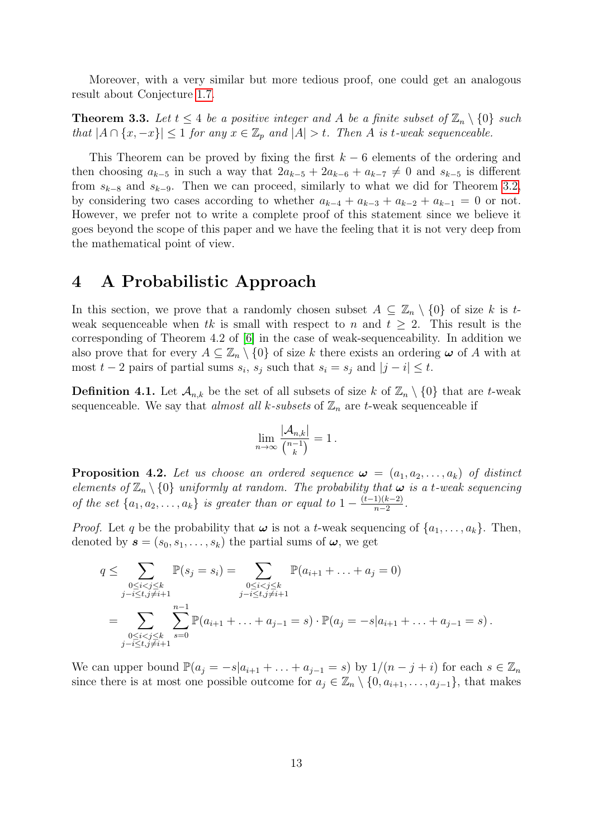Moreover, with a very similar but more tedious proof, one could get an analogous result about Conjecture [1.7.](#page-2-2)

**Theorem 3.3.** Let  $t \leq 4$  be a positive integer and A be a finite subset of  $\mathbb{Z}_n \setminus \{0\}$  such that  $|A \cap \{x, -x\}| \leq 1$  for any  $x \in \mathbb{Z}_p$  and  $|A| > t$ . Then A is t-weak sequenceable.

This Theorem can be proved by fixing the first  $k - 6$  elements of the ordering and then choosing  $a_{k-5}$  in such a way that  $2a_{k-5} + 2a_{k-6} + a_{k-7} \neq 0$  and  $s_{k-5}$  is different from  $s_{k-8}$  and  $s_{k-9}$ . Then we can proceed, similarly to what we did for Theorem [3.2,](#page-10-1) by considering two cases according to whether  $a_{k-4} + a_{k-3} + a_{k-2} + a_{k-1} = 0$  or not. However, we prefer not to write a complete proof of this statement since we believe it goes beyond the scope of this paper and we have the feeling that it is not very deep from the mathematical point of view.

### 4 A Probabilistic Approach

In this section, we prove that a randomly chosen subset  $A \subseteq \mathbb{Z}_n \setminus \{0\}$  of size k is tweak sequenceable when tk is small with respect to n and  $t \geq 2$ . This result is the corresponding of Theorem 4.2 of [\[6\]](#page-14-1) in the case of weak-sequenceability. In addition we also prove that for every  $A \subseteq \mathbb{Z}_n \setminus \{0\}$  of size k there exists an ordering  $\omega$  of A with at most  $t-2$  pairs of partial sums  $s_i$ ,  $s_j$  such that  $s_i = s_j$  and  $|j - i| \leq t$ .

**Definition 4.1.** Let  $\mathcal{A}_{n,k}$  be the set of all subsets of size k of  $\mathbb{Z}_n \setminus \{0\}$  that are t-weak sequenceable. We say that *almost all k-subsets* of  $\mathbb{Z}_n$  are *t*-weak sequenceable if

$$
\lim_{n\to\infty}\frac{|\mathcal{A}_{n,k}|}{\binom{n-1}{k}}=1.
$$

<span id="page-12-0"></span>**Proposition 4.2.** Let us choose an ordered sequence  $\boldsymbol{\omega} = (a_1, a_2, \dots, a_k)$  of distinct elements of  $\mathbb{Z}_n \setminus \{0\}$  uniformly at random. The probability that  $\boldsymbol{\omega}$  is a t-weak sequencing of the set  $\{a_1, a_2, \ldots, a_k\}$  is greater than or equal to  $1 - \frac{(t-1)(k-2)}{n-2}$  $\frac{1}{n-2}$ .

*Proof.* Let q be the probability that  $\omega$  is not a t-weak sequencing of  $\{a_1, \ldots, a_k\}$ . Then, denoted by  $\mathbf{s} = (s_0, s_1, \ldots, s_k)$  the partial sums of  $\boldsymbol{\omega}$ , we get

$$
q \leq \sum_{\substack{0 \leq i < j \leq k \\ j-i \leq t, j \neq i+1}} \mathbb{P}(s_j = s_i) = \sum_{\substack{0 \leq i < j \leq k \\ j-i \leq t, j \neq i+1}} \mathbb{P}(a_{i+1} + \ldots + a_j = 0)
$$
\n
$$
= \sum_{\substack{0 \leq i < j \leq k \\ j-i \leq t, j \neq i+1}} \sum_{s=0}^{n-1} \mathbb{P}(a_{i+1} + \ldots + a_{j-1} = s) \cdot \mathbb{P}(a_j = -s | a_{i+1} + \ldots + a_{j-1} = s) \, .
$$

We can upper bound  $\mathbb{P}(a_j = -s|a_{i+1} + \ldots + a_{j-1} = s)$  by  $1/(n-j+i)$  for each  $s \in \mathbb{Z}_n$ since there is at most one possible outcome for  $a_j \in \mathbb{Z}_n \setminus \{0, a_{i+1}, \ldots, a_{j-1}\},$  that makes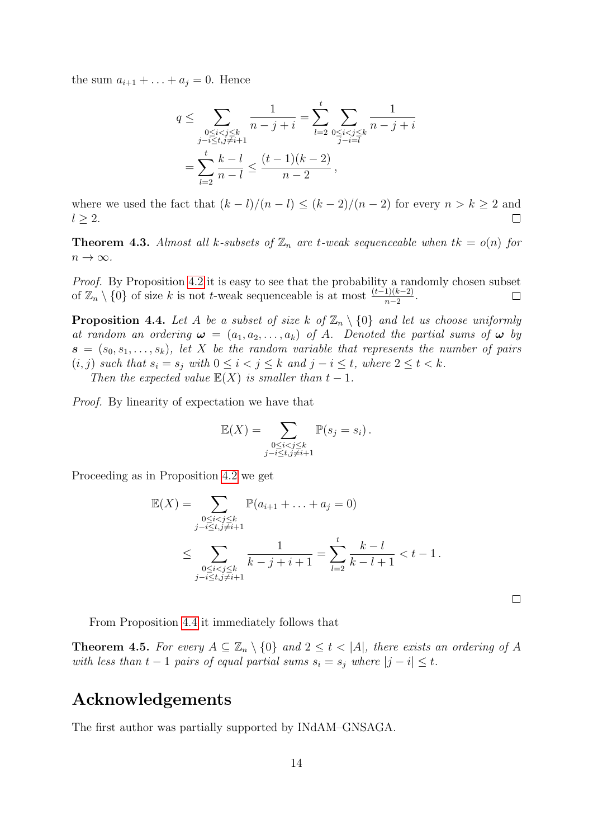the sum  $a_{i+1} + ... + a_j = 0$ . Hence

$$
q \le \sum_{\substack{0 \le i < j \le k \\ j-i \le t, j \ne i+1}} \frac{1}{n-j+i} = \sum_{l=2}^t \sum_{\substack{0 \le i < j \le k \\ j-i = l}} \frac{1}{n-j+i}
$$
\n
$$
= \sum_{l=2}^t \frac{k-l}{n-l} \le \frac{(t-1)(k-2)}{n-2},
$$

where we used the fact that  $(k - l)/(n - l) \le (k - 2)/(n - 2)$  for every  $n > k \ge 2$  and  $l \geq 2$ .  $\Box$ 

**Theorem 4.3.** Almost all k-subsets of  $\mathbb{Z}_n$  are t-weak sequenceable when  $tk = o(n)$  for  $n \to \infty$ .

Proof. By Proposition [4.2](#page-12-0) it is easy to see that the probability a randomly chosen subset of  $\mathbb{Z}_n \setminus \{0\}$  of size k is not t-weak sequenceable is at most  $\frac{(t-1)(k-2)}{n-2}$ .  $\Box$ 

<span id="page-13-0"></span>**Proposition 4.4.** Let A be a subset of size k of  $\mathbb{Z}_n \setminus \{0\}$  and let us choose uniformly at random an ordering  $\boldsymbol{\omega} = (a_1, a_2, \dots, a_k)$  of A. Denoted the partial sums of  $\boldsymbol{\omega}$  by  $\mathbf{s} = (s_0, s_1, \ldots, s_k)$ , let X be the random variable that represents the number of pairs  $(i, j)$  such that  $s_i = s_j$  with  $0 \leq i < j \leq k$  and  $j - i \leq t$ , where  $2 \leq t < k$ . Then the expected value  $\mathbb{E}(X)$  is smaller than  $t-1$ .

Proof. By linearity of expectation we have that

$$
\mathbb{E}(X) = \sum_{\substack{0 \le i < j \le k \\ j-i \le t, j \ne i+1}} \mathbb{P}(s_j = s_i) \, .
$$

Proceeding as in Proposition [4.2](#page-12-0) we get

$$
\mathbb{E}(X) = \sum_{\substack{0 \le i < j \le k \\ j-i \le t, j \ne i+1}} \mathbb{P}(a_{i+1} + \ldots + a_j = 0)
$$
\n
$$
\le \sum_{\substack{0 \le i < j \le k \\ j-i \le t, j \ne i+1}} \frac{1}{k-j+i+1} = \sum_{l=2}^t \frac{k-l}{k-l+1} < t-1.
$$

 $\Box$ 

From Proposition [4.4](#page-13-0) it immediately follows that

**Theorem 4.5.** For every  $A \subseteq \mathbb{Z}_n \setminus \{0\}$  and  $2 \leq t < |A|$ , there exists an ordering of A with less than  $t - 1$  pairs of equal partial sums  $s_i = s_j$  where  $|j - i| \leq t$ .

### Acknowledgements

The first author was partially supported by INdAM–GNSAGA.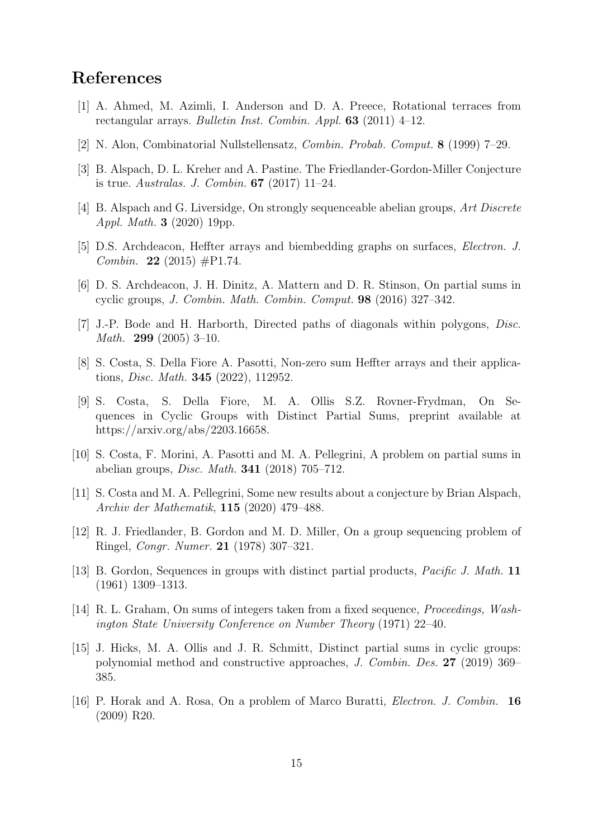## References

- [1] A. Ahmed, M. Azimli, I. Anderson and D. A. Preece, Rotational terraces from rectangular arrays. Bulletin Inst. Combin. Appl. 63 (2011) 4–12.
- <span id="page-14-13"></span>[2] N. Alon, Combinatorial Nullstellensatz, Combin. Probab. Comput. 8 (1999) 7–29.
- <span id="page-14-9"></span>[3] B. Alspach, D. L. Kreher and A. Pastine. The Friedlander-Gordon-Miller Conjecture is true. Australas. J. Combin. 67 (2017) 11–24.
- <span id="page-14-0"></span>[4] B. Alspach and G. Liversidge, On strongly sequenceable abelian groups, Art Discrete Appl. Math. 3 (2020) 19pp.
- <span id="page-14-7"></span>[5] D.S. Archdeacon, Heffter arrays and biembedding graphs on surfaces, Electron. J. *Combin.* **22** (2015)  $\#P1.74$ .
- <span id="page-14-1"></span>[6] D. S. Archdeacon, J. H. Dinitz, A. Mattern and D. R. Stinson, On partial sums in cyclic groups, J. Combin. Math. Combin. Comput. 98 (2016) 327–342.
- <span id="page-14-2"></span>[7] J.-P. Bode and H. Harborth, Directed paths of diagonals within polygons, Disc. Math. 299 (2005) 3–10.
- <span id="page-14-12"></span>[8] S. Costa, S. Della Fiore A. Pasotti, Non-zero sum Heffter arrays and their applications, Disc. Math. 345 (2022), 112952.
- <span id="page-14-3"></span>[9] S. Costa, S. Della Fiore, M. A. Ollis S.Z. Rovner-Frydman, On Sequences in Cyclic Groups with Distinct Partial Sums, preprint available at https://arxiv.org/abs/2203.16658.
- <span id="page-14-4"></span>[10] S. Costa, F. Morini, A. Pasotti and M. A. Pellegrini, A problem on partial sums in abelian groups, Disc. Math. 341 (2018) 705–712.
- <span id="page-14-11"></span>[11] S. Costa and M. A. Pellegrini, Some new results about a conjecture by Brian Alspach, Archiv der Mathematik, 115 (2020) 479–488.
- [12] R. J. Friedlander, B. Gordon and M. D. Miller, On a group sequencing problem of Ringel, Congr. Numer. 21 (1978) 307–321.
- <span id="page-14-10"></span>[13] B. Gordon, Sequences in groups with distinct partial products, *Pacific J. Math.* 11 (1961) 1309–1313.
- <span id="page-14-5"></span>[14] R. L. Graham, On sums of integers taken from a fixed sequence, Proceedings, Washington State University Conference on Number Theory (1971) 22–40.
- <span id="page-14-8"></span>[15] J. Hicks, M. A. Ollis and J. R. Schmitt, Distinct partial sums in cyclic groups: polynomial method and constructive approaches, J. Combin. Des. 27 (2019) 369– 385.
- <span id="page-14-6"></span>[16] P. Horak and A. Rosa, On a problem of Marco Buratti, Electron. J. Combin. 16 (2009) R20.